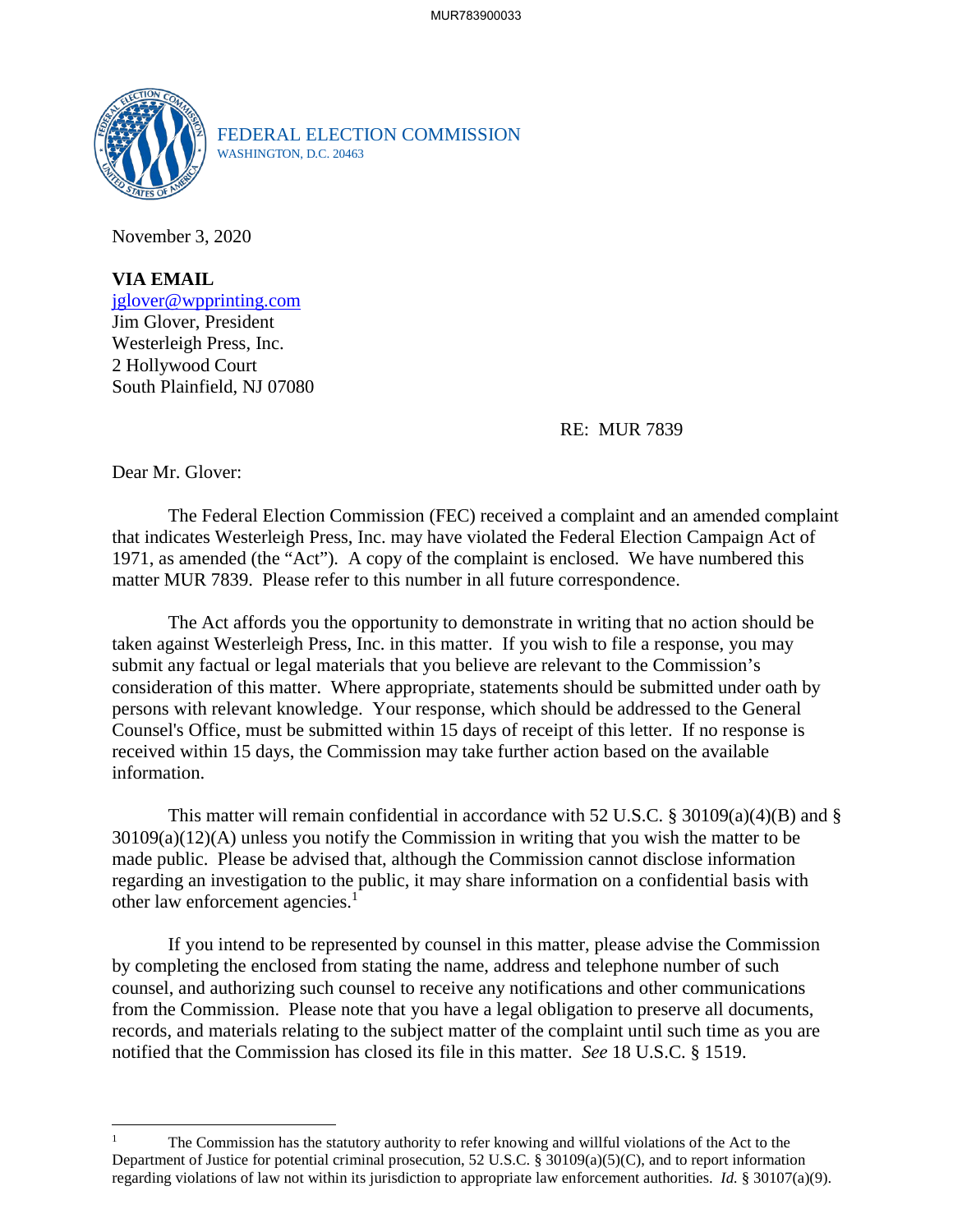

FEDERAL ELECTION COMMISSION WASHINGTON, D.C. 20463

November 3, 2020

**VIA EMAIL** [jglover@wpprinting.com](mailto:jglover@wpprinting.com)  Jim Glover, President Westerleigh Press, Inc. 2 Hollywood Court South Plainfield, NJ 07080

RE: MUR 7839

Dear Mr. Glover:

The Federal Election Commission (FEC) received a complaint and an amended complaint that indicates Westerleigh Press, Inc. may have violated the Federal Election Campaign Act of 1971, as amended (the "Act"). A copy of the complaint is enclosed. We have numbered this matter MUR 7839. Please refer to this number in all future correspondence.

The Act affords you the opportunity to demonstrate in writing that no action should be taken against Westerleigh Press, Inc. in this matter. If you wish to file a response, you may submit any factual or legal materials that you believe are relevant to the Commission's consideration of this matter. Where appropriate, statements should be submitted under oath by persons with relevant knowledge. Your response, which should be addressed to the General Counsel's Office, must be submitted within 15 days of receipt of this letter. If no response is received within 15 days, the Commission may take further action based on the available information.

This matter will remain confidential in accordance with 52 U.S.C. § 30109(a)(4)(B) and § 30109(a)(12)(A) unless you notify the Commission in writing that you wish the matter to be made public. Please be advised that, although the Commission cannot disclose information regarding an investigation to the public, it may share information on a confidential basis with other law enforcement agencies.<sup>[1](#page-0-0)</sup>

If you intend to be represented by counsel in this matter, please advise the Commission by completing the enclosed from stating the name, address and telephone number of such counsel, and authorizing such counsel to receive any notifications and other communications from the Commission. Please note that you have a legal obligation to preserve all documents, records, and materials relating to the subject matter of the complaint until such time as you are notified that the Commission has closed its file in this matter. *See* 18 U.S.C. § 1519.

<span id="page-0-0"></span><sup>1</sup> The Commission has the statutory authority to refer knowing and willful violations of the Act to the Department of Justice for potential criminal prosecution, 52 U.S.C. § 30109(a)(5)(C), and to report information regarding violations of law not within its jurisdiction to appropriate law enforcement authorities. *Id.* § 30107(a)(9).